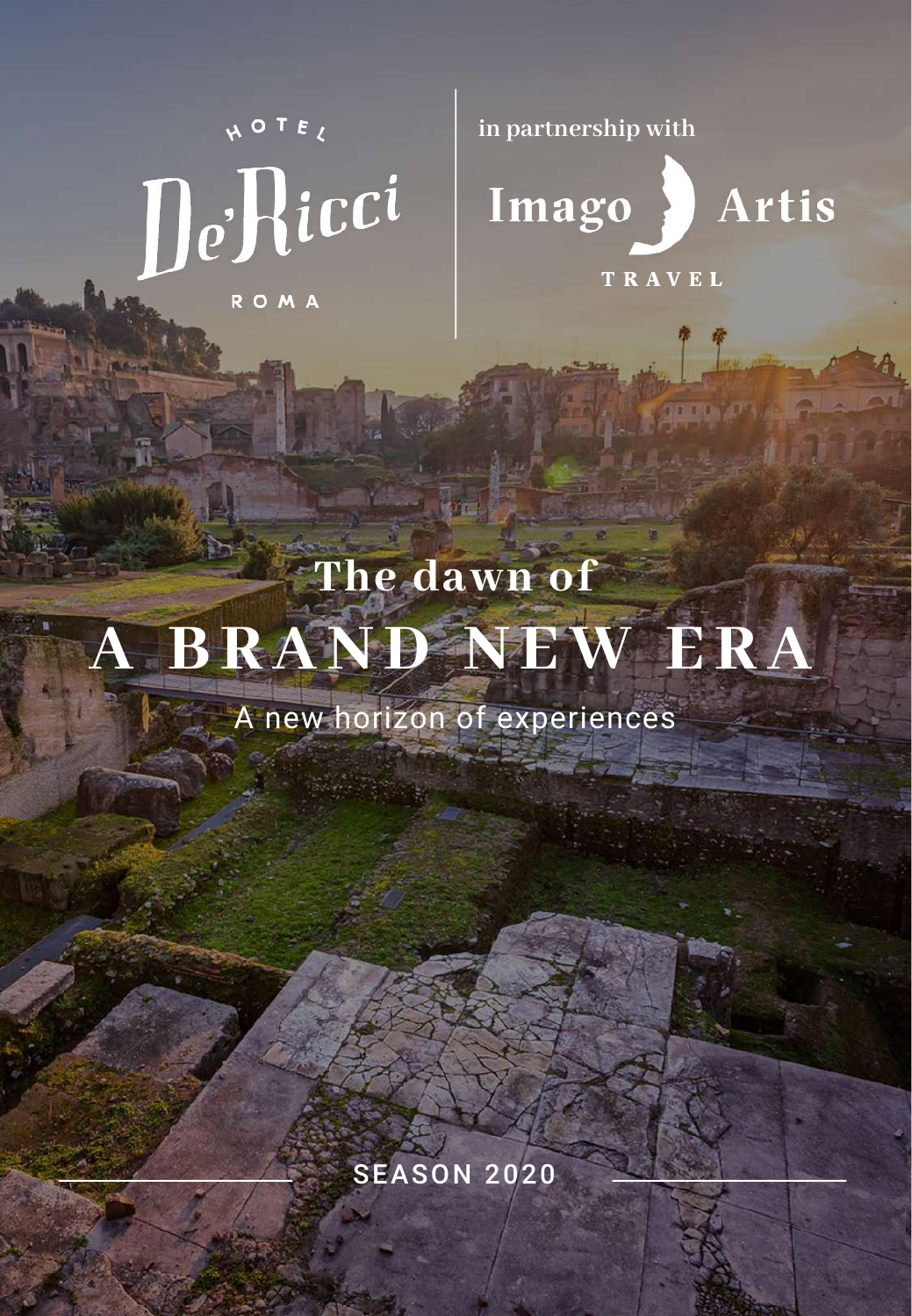NOTEL DeHicci ROMA

**in partnership with**



**TRAVEL** 

## **The dawn of A BRAND NEW ERA**

A new horizon of experiences

**SEASON 2020** 

**A BRAND NEWS CONFIDENTIAL CONTINUES.**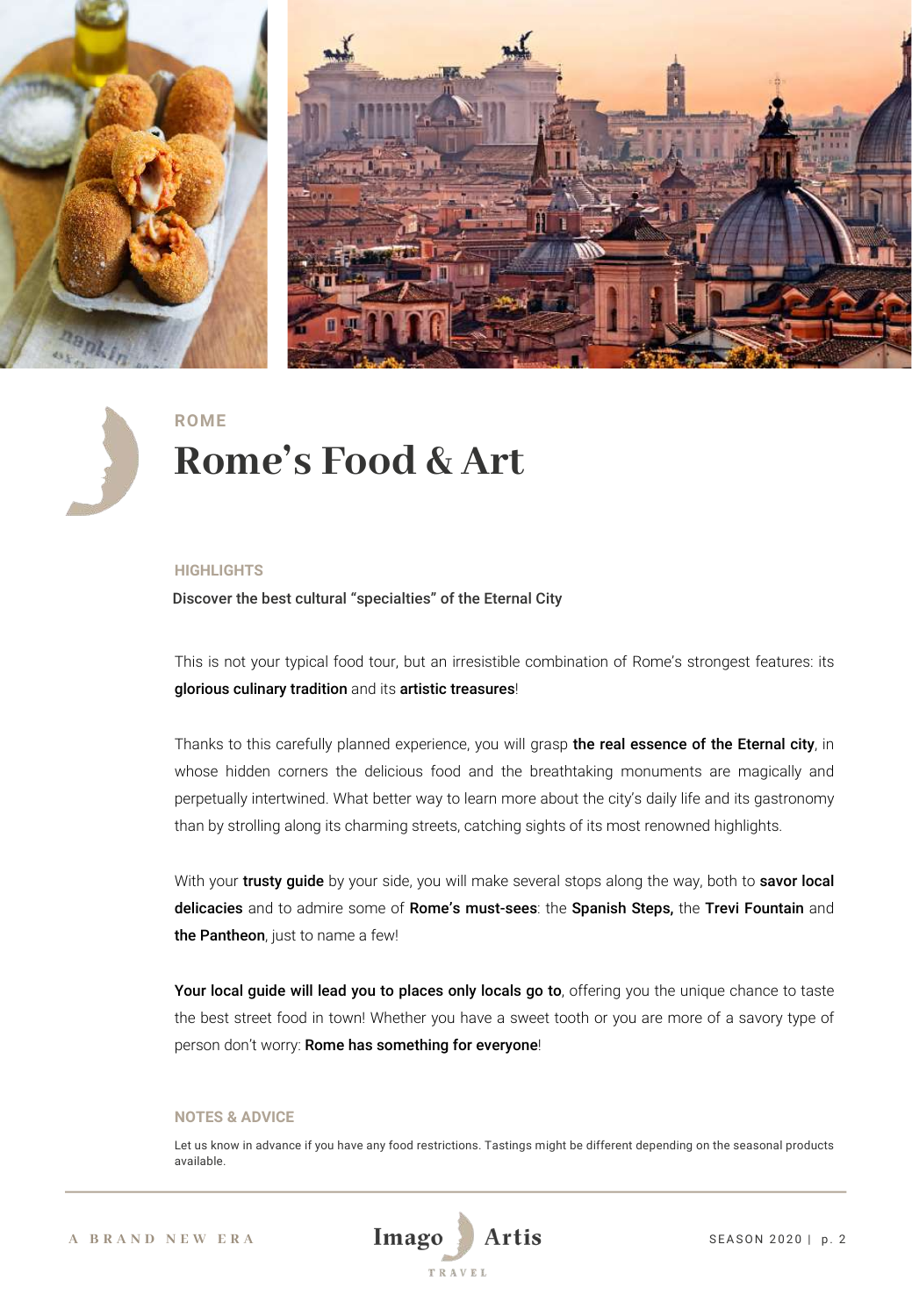

**ROME**

### **Rome's Food & Art**

#### **HIGHLIGHTS**

Discover the best cultural "specialties" of the Eternal City

This is not your typical food tour, but an irresistible combination of Rome's strongest features: its glorious culinary tradition and its artistic treasures!

Thanks to this carefully planned experience, you will grasp the real essence of the Eternal city, in whose hidden corners the delicious food and the breathtaking monuments are magically and perpetually intertwined. What better way to learn more about the city's daily life and its gastronomy than by strolling along its charming streets, catching sights of its most renowned highlights.

With your trusty quide by your side, you will make several stops along the way, both to savor local delicacies and to admire some of Rome's must-sees: the Spanish Steps, the Trevi Fountain and the Pantheon, just to name a few!

Your local guide will lead you to places only locals go to, offering you the unique chance to taste the best street food in town! Whether you have a sweet tooth or you are more of a savory type of person don't worry: Rome has something for everyone!

#### **NOTES & ADVICE**

Let us know in advance if you have any food restrictions. Tastings might be different depending on the seasonal products available.

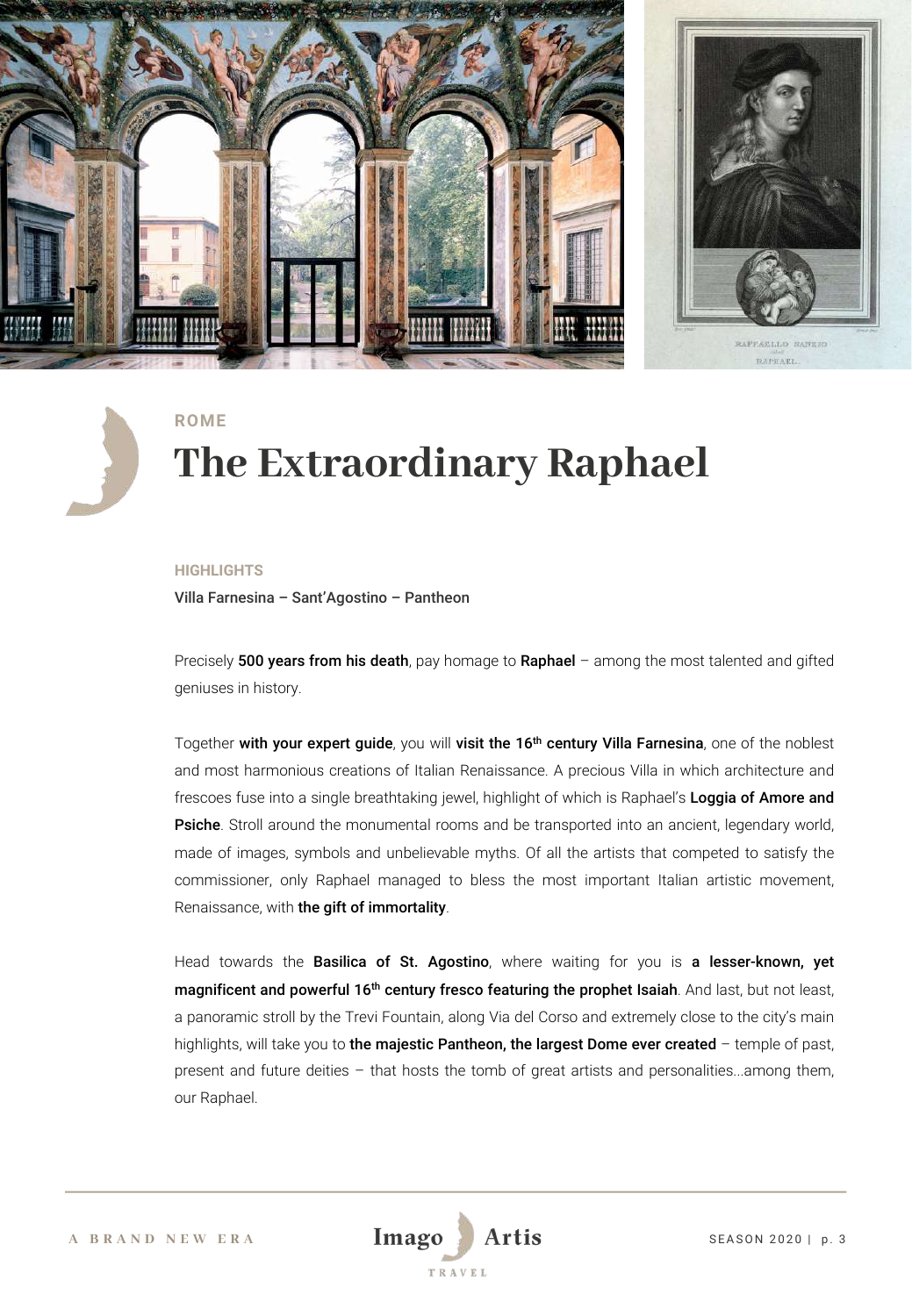

**ROME**

### **The Extraordinary Raphael**

#### **HIGHLIGHTS**

Villa Farnesina – Sant'Agostino – Pantheon

Precisely 500 years from his death, pay homage to Raphael – among the most talented and gifted geniuses in history.

Together with your expert guide, you will visit the 16<sup>th</sup> century Villa Farnesina, one of the noblest and most harmonious creations of Italian Renaissance. A precious Villa in which architecture and frescoes fuse into a single breathtaking jewel, highlight of which is Raphael's Loggia of Amore and **Psiche**. Stroll around the monumental rooms and be transported into an ancient, legendary world, made of images, symbols and unbelievable myths. Of all the artists that competed to satisfy the commissioner, only Raphael managed to bless the most important Italian artistic movement, Renaissance, with the gift of immortality.

Head towards the Basilica of St. Agostino, where waiting for you is a lesser-known, yet magnificent and powerful 16<sup>th</sup> century fresco featuring the prophet Isaiah. And last, but not least, a panoramic stroll by the Trevi Fountain, along Via del Corso and extremely close to the city's main highlights, will take you to the majestic Pantheon, the largest Dome ever created - temple of past, present and future deities – that hosts the tomb of great artists and personalities...among them, our Raphael.

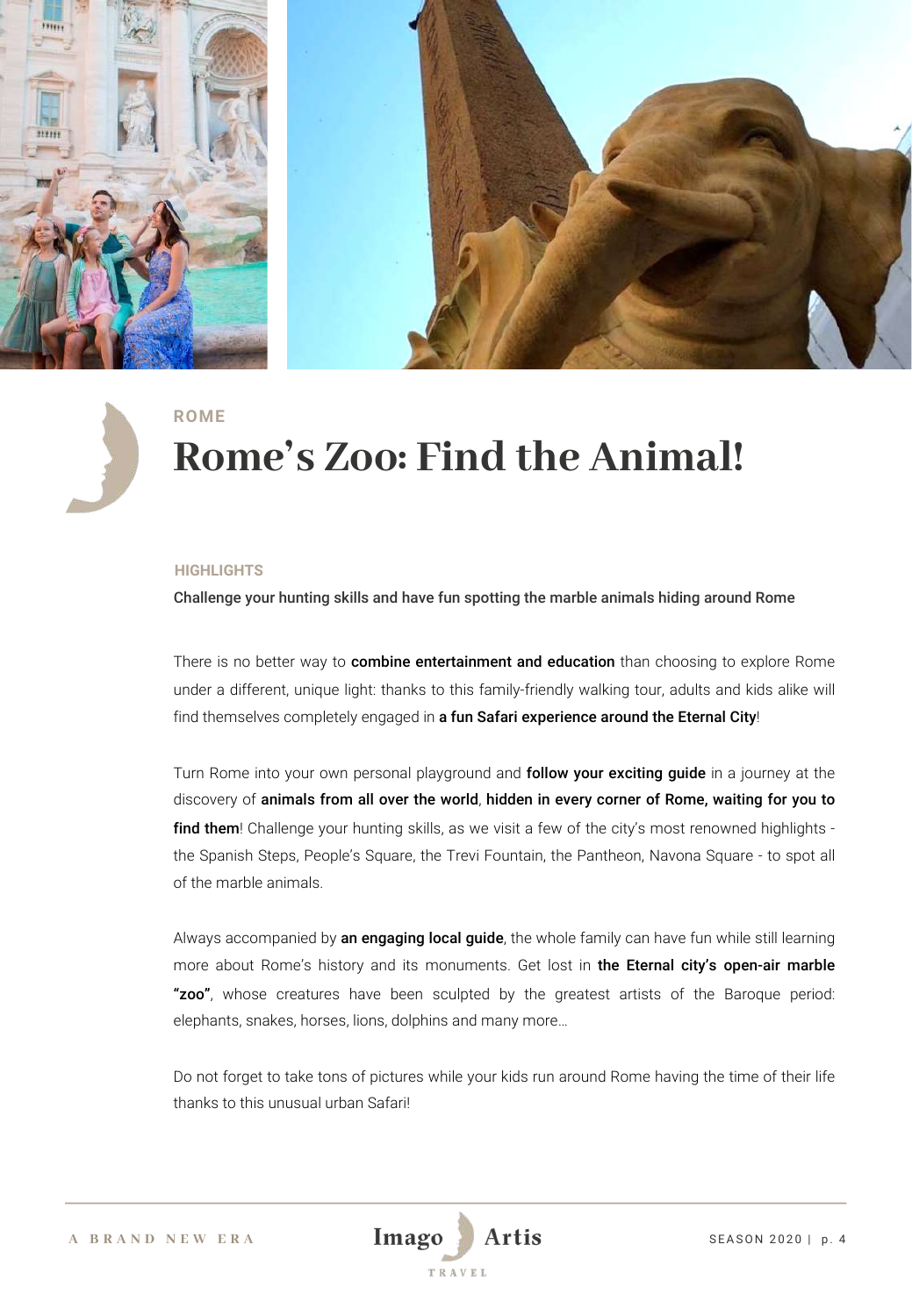



#### **ROME**

### **Rome's Zoo: Find the Animal!**

#### **HIGHLIGHTS**

Challenge your hunting skills and have fun spotting the marble animals hiding around Rome

There is no better way to **combine entertainment and education** than choosing to explore Rome under a different, unique light: thanks to this family-friendly walking tour, adults and kids alike will find themselves completely engaged in a fun Safari experience around the Eternal City!

Turn Rome into your own personal playground and follow your exciting guide in a journey at the discovery of animals from all over the world, hidden in every corner of Rome, waiting for you to find them! Challenge your hunting skills, as we visit a few of the city's most renowned highlights the Spanish Steps, People's Square, the Trevi Fountain, the Pantheon, Navona Square - to spot all of the marble animals.

Always accompanied by an engaging local guide, the whole family can have fun while still learning more about Rome's history and its monuments. Get lost in the Eternal city's open-air marble "zoo", whose creatures have been sculpted by the greatest artists of the Baroque period: elephants, snakes, horses, lions, dolphins and many more…

Do not forget to take tons of pictures while your kids run around Rome having the time of their life thanks to this unusual urban Safari!